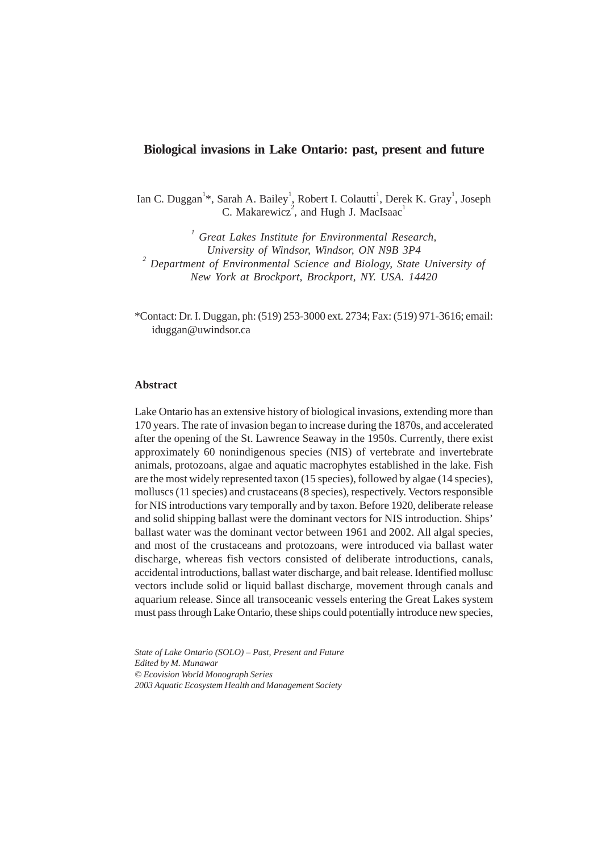# **Biological invasions in Lake Ontario: past, present and future**

Ian C. Duggan<sup>1\*</sup>, Sarah A. Bailey<sup>1</sup>, Robert I. Colautti<sup>1</sup>, Derek K. Gray<sup>1</sup>, Joseph C. Makarewicz<sup>2</sup>, and Hugh J. MacIsaac<sup>1</sup>

*1 Great Lakes Institute for Environmental Research, University of Windsor, Windsor, ON N9B 3P4 <sup>2</sup> Department of Environmental Science and Biology, State University of New York at Brockport, Brockport, NY. USA. 14420*

\*Contact: Dr. I. Duggan, ph: (519) 253-3000 ext. 2734; Fax: (519) 971-3616; email: iduggan@uwindsor.ca

# **Abstract**

Lake Ontario has an extensive history of biological invasions, extending more than 170 years. The rate of invasion began to increase during the 1870s, and accelerated after the opening of the St. Lawrence Seaway in the 1950s. Currently, there exist approximately 60 nonindigenous species (NIS) of vertebrate and invertebrate animals, protozoans, algae and aquatic macrophytes established in the lake. Fish are the most widely represented taxon (15 species), followed by algae (14 species), molluscs (11 species) and crustaceans (8 species), respectively. Vectors responsible for NIS introductions vary temporally and by taxon. Before 1920, deliberate release and solid shipping ballast were the dominant vectors for NIS introduction. Ships' ballast water was the dominant vector between 1961 and 2002. All algal species, and most of the crustaceans and protozoans, were introduced via ballast water discharge, whereas fish vectors consisted of deliberate introductions, canals, accidental introductions, ballast water discharge, and bait release. Identified mollusc vectors include solid or liquid ballast discharge, movement through canals and aquarium release. Since all transoceanic vessels entering the Great Lakes system must pass through Lake Ontario, these ships could potentially introduce new species,

*State of Lake Ontario (SOLO) – Past, Present and Future Edited by M. Munawar © Ecovision World Monograph Series 2003 Aquatic Ecosystem Health and Management Society*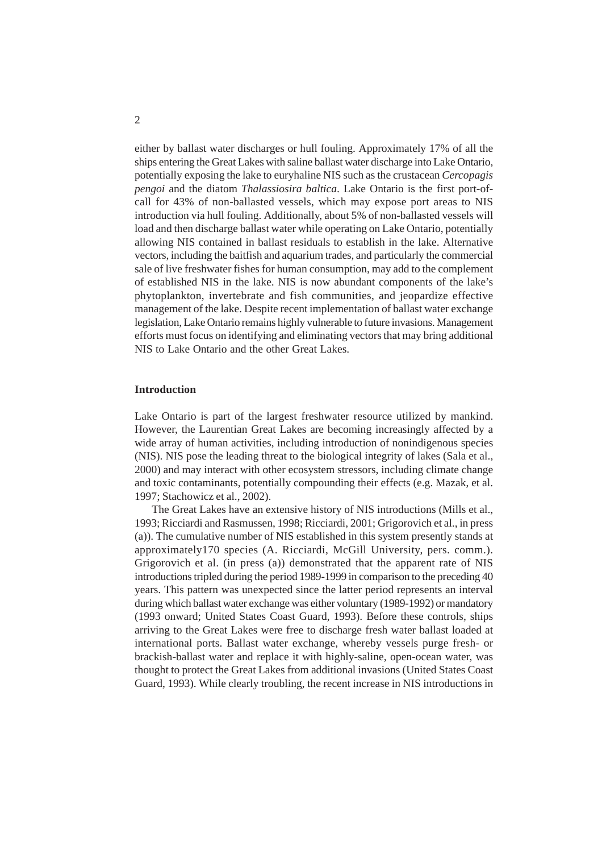either by ballast water discharges or hull fouling. Approximately 17% of all the ships entering the Great Lakes with saline ballast water discharge into Lake Ontario, potentially exposing the lake to euryhaline NIS such as the crustacean *Cercopagis pengoi* and the diatom *Thalassiosira baltica*. Lake Ontario is the first port-ofcall for 43% of non-ballasted vessels, which may expose port areas to NIS introduction via hull fouling. Additionally, about 5% of non-ballasted vessels will load and then discharge ballast water while operating on Lake Ontario, potentially allowing NIS contained in ballast residuals to establish in the lake. Alternative vectors, including the baitfish and aquarium trades, and particularly the commercial sale of live freshwater fishes for human consumption, may add to the complement of established NIS in the lake. NIS is now abundant components of the lake's phytoplankton, invertebrate and fish communities, and jeopardize effective management of the lake. Despite recent implementation of ballast water exchange legislation, Lake Ontario remains highly vulnerable to future invasions. Management efforts must focus on identifying and eliminating vectors that may bring additional NIS to Lake Ontario and the other Great Lakes.

# **Introduction**

Lake Ontario is part of the largest freshwater resource utilized by mankind. However, the Laurentian Great Lakes are becoming increasingly affected by a wide array of human activities, including introduction of nonindigenous species (NIS). NIS pose the leading threat to the biological integrity of lakes (Sala et al., 2000) and may interact with other ecosystem stressors, including climate change and toxic contaminants, potentially compounding their effects (e.g. Mazak, et al. 1997; Stachowicz et al., 2002).

The Great Lakes have an extensive history of NIS introductions (Mills et al., 1993; Ricciardi and Rasmussen, 1998; Ricciardi, 2001; Grigorovich et al., in press (a)). The cumulative number of NIS established in this system presently stands at approximately170 species (A. Ricciardi, McGill University, pers. comm.). Grigorovich et al. (in press (a)) demonstrated that the apparent rate of NIS introductions tripled during the period 1989-1999 in comparison to the preceding 40 years. This pattern was unexpected since the latter period represents an interval during which ballast water exchange was either voluntary (1989-1992) or mandatory (1993 onward; United States Coast Guard, 1993). Before these controls, ships arriving to the Great Lakes were free to discharge fresh water ballast loaded at international ports. Ballast water exchange, whereby vessels purge fresh- or brackish-ballast water and replace it with highly-saline, open-ocean water, was thought to protect the Great Lakes from additional invasions (United States Coast Guard, 1993). While clearly troubling, the recent increase in NIS introductions in

 $\overline{2}$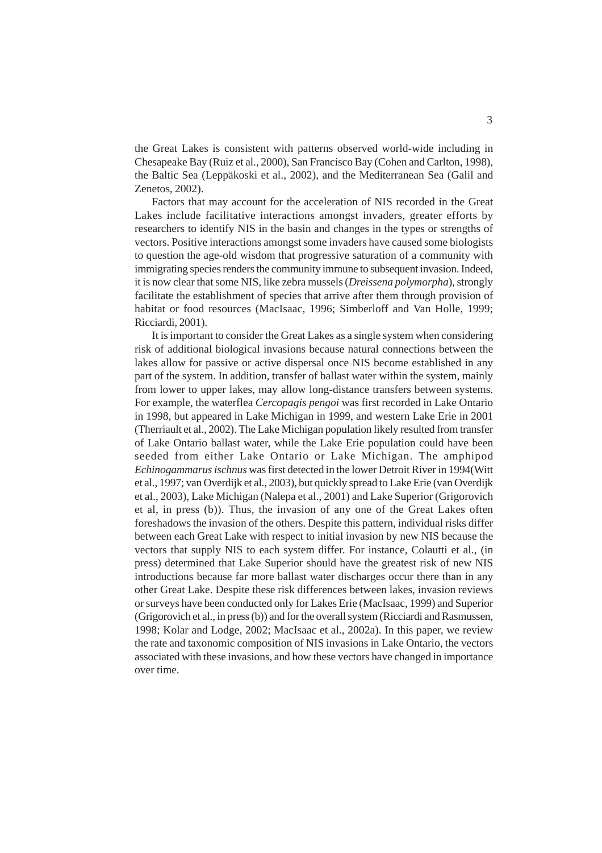the Great Lakes is consistent with patterns observed world-wide including in Chesapeake Bay (Ruiz et al., 2000), San Francisco Bay (Cohen and Carlton, 1998), the Baltic Sea (Leppäkoski et al., 2002), and the Mediterranean Sea (Galil and Zenetos, 2002).

Factors that may account for the acceleration of NIS recorded in the Great Lakes include facilitative interactions amongst invaders, greater efforts by researchers to identify NIS in the basin and changes in the types or strengths of vectors. Positive interactions amongst some invaders have caused some biologists to question the age-old wisdom that progressive saturation of a community with immigrating species renders the community immune to subsequent invasion. Indeed, it is now clear that some NIS, like zebra mussels (*Dreissena polymorpha*), strongly facilitate the establishment of species that arrive after them through provision of habitat or food resources (MacIsaac, 1996; Simberloff and Van Holle, 1999; Ricciardi, 2001).

It is important to consider the Great Lakes as a single system when considering risk of additional biological invasions because natural connections between the lakes allow for passive or active dispersal once NIS become established in any part of the system. In addition, transfer of ballast water within the system, mainly from lower to upper lakes, may allow long-distance transfers between systems. For example, the waterflea *Cercopagis pengoi* was first recorded in Lake Ontario in 1998, but appeared in Lake Michigan in 1999, and western Lake Erie in 2001 (Therriault et al., 2002). The Lake Michigan population likely resulted from transfer of Lake Ontario ballast water, while the Lake Erie population could have been seeded from either Lake Ontario or Lake Michigan. The amphipod *Echinogammarus ischnus* was first detected in the lower Detroit River in 1994(Witt et al., 1997; van Overdijk et al., 2003), but quickly spread to Lake Erie (van Overdijk et al., 2003), Lake Michigan (Nalepa et al., 2001) and Lake Superior (Grigorovich et al, in press (b)). Thus, the invasion of any one of the Great Lakes often foreshadows the invasion of the others. Despite this pattern, individual risks differ between each Great Lake with respect to initial invasion by new NIS because the vectors that supply NIS to each system differ. For instance, Colautti et al., (in press) determined that Lake Superior should have the greatest risk of new NIS introductions because far more ballast water discharges occur there than in any other Great Lake. Despite these risk differences between lakes, invasion reviews or surveys have been conducted only for Lakes Erie (MacIsaac, 1999) and Superior (Grigorovich et al., in press (b)) and for the overall system (Ricciardi and Rasmussen, 1998; Kolar and Lodge, 2002; MacIsaac et al., 2002a). In this paper, we review the rate and taxonomic composition of NIS invasions in Lake Ontario, the vectors associated with these invasions, and how these vectors have changed in importance over time.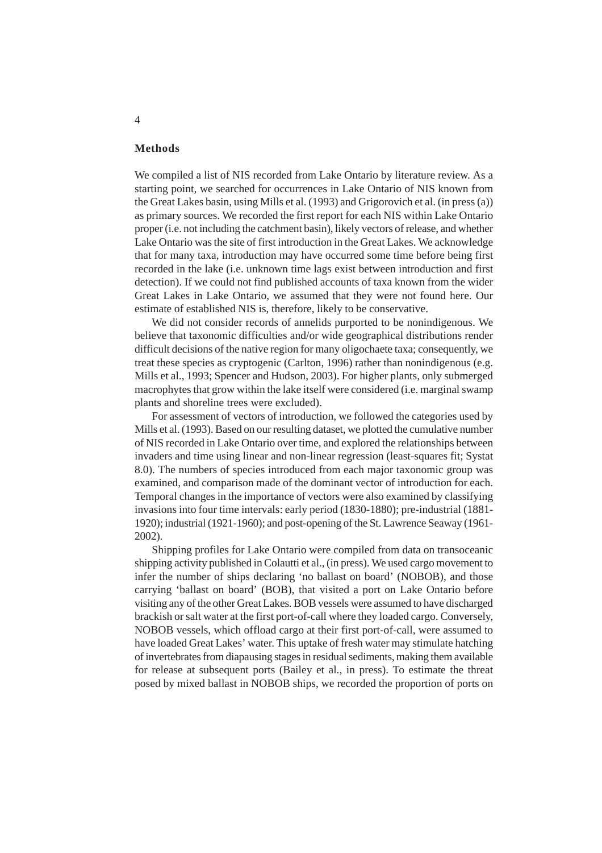# **Methods**

We compiled a list of NIS recorded from Lake Ontario by literature review. As a starting point, we searched for occurrences in Lake Ontario of NIS known from the Great Lakes basin, using Mills et al. (1993) and Grigorovich et al. (in press (a)) as primary sources. We recorded the first report for each NIS within Lake Ontario proper (i.e. not including the catchment basin), likely vectors of release, and whether Lake Ontario was the site of first introduction in the Great Lakes. We acknowledge that for many taxa, introduction may have occurred some time before being first recorded in the lake (i.e. unknown time lags exist between introduction and first detection). If we could not find published accounts of taxa known from the wider Great Lakes in Lake Ontario, we assumed that they were not found here. Our estimate of established NIS is, therefore, likely to be conservative.

We did not consider records of annelids purported to be nonindigenous. We believe that taxonomic difficulties and/or wide geographical distributions render difficult decisions of the native region for many oligochaete taxa; consequently, we treat these species as cryptogenic (Carlton, 1996) rather than nonindigenous (e.g. Mills et al., 1993; Spencer and Hudson, 2003). For higher plants, only submerged macrophytes that grow within the lake itself were considered (i.e. marginal swamp plants and shoreline trees were excluded).

For assessment of vectors of introduction, we followed the categories used by Mills et al. (1993). Based on our resulting dataset, we plotted the cumulative number of NIS recorded in Lake Ontario over time, and explored the relationships between invaders and time using linear and non-linear regression (least-squares fit; Systat 8.0). The numbers of species introduced from each major taxonomic group was examined, and comparison made of the dominant vector of introduction for each. Temporal changes in the importance of vectors were also examined by classifying invasions into four time intervals: early period (1830-1880); pre-industrial (1881- 1920); industrial (1921-1960); and post-opening of the St. Lawrence Seaway (1961- 2002).

Shipping profiles for Lake Ontario were compiled from data on transoceanic shipping activity published in Colautti et al., (in press). We used cargo movement to infer the number of ships declaring 'no ballast on board' (NOBOB), and those carrying 'ballast on board' (BOB), that visited a port on Lake Ontario before visiting any of the other Great Lakes. BOB vessels were assumed to have discharged brackish or salt water at the first port-of-call where they loaded cargo. Conversely, NOBOB vessels, which offload cargo at their first port-of-call, were assumed to have loaded Great Lakes' water. This uptake of fresh water may stimulate hatching of invertebrates from diapausing stages in residual sediments, making them available for release at subsequent ports (Bailey et al., in press). To estimate the threat posed by mixed ballast in NOBOB ships, we recorded the proportion of ports on

#### 4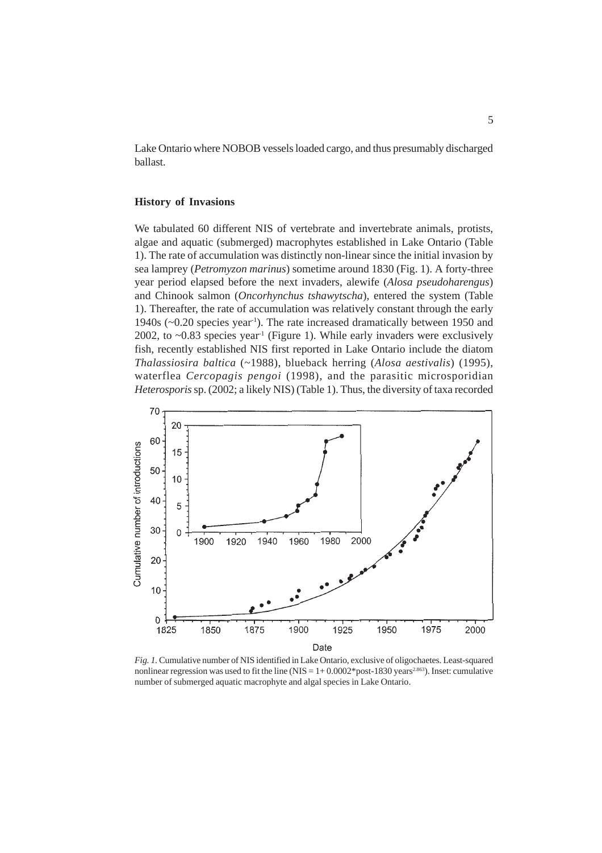Lake Ontario where NOBOB vessels loaded cargo, and thus presumably discharged ballast.

#### **History of Invasions**

We tabulated 60 different NIS of vertebrate and invertebrate animals, protists, algae and aquatic (submerged) macrophytes established in Lake Ontario (Table 1). The rate of accumulation was distinctly non-linear since the initial invasion by sea lamprey (*Petromyzon marinus*) sometime around 1830 (Fig. 1). A forty-three year period elapsed before the next invaders, alewife (*Alosa pseudoharengus*) and Chinook salmon (*Oncorhynchus tshawytscha*), entered the system (Table 1). Thereafter, the rate of accumulation was relatively constant through the early 1940s (~0.20 species year-1). The rate increased dramatically between 1950 and 2002, to  $~0.83$  species year<sup>-1</sup> (Figure 1). While early invaders were exclusively fish, recently established NIS first reported in Lake Ontario include the diatom *Thalassiosira baltica* (~1988), blueback herring (*Alosa aestivalis*) (1995), waterflea *Cercopagis pengoi* (1998), and the parasitic microsporidian *Heterosporis* sp. (2002; a likely NIS) (Table 1). Thus, the diversity of taxa recorded



*Fig. 1.* Cumulative number of NIS identified in Lake Ontario, exclusive of oligochaetes. Least-squared nonlinear regression was used to fit the line (NIS =  $1+0.0002*$  post-1830 years<sup>2.863</sup>). Inset: cumulative number of submerged aquatic macrophyte and algal species in Lake Ontario.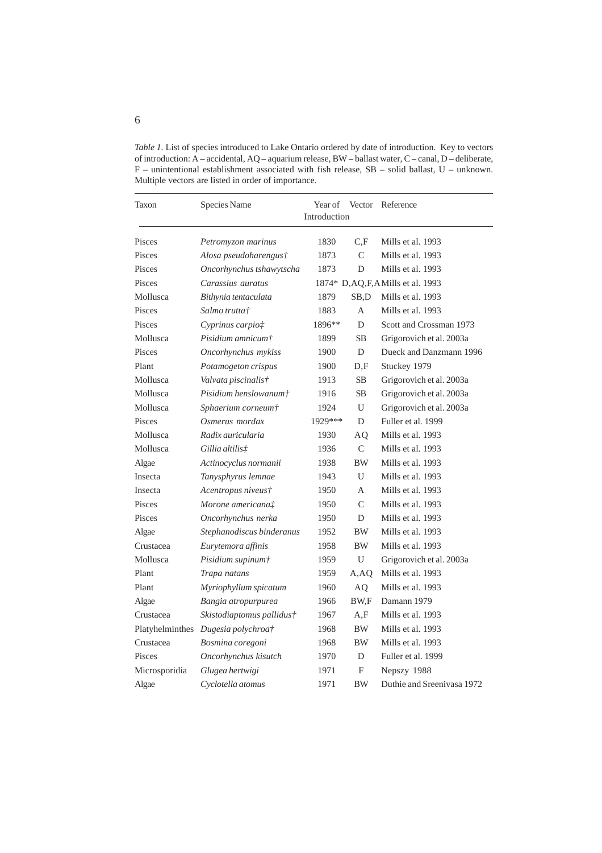*Table 1.* List of species introduced to Lake Ontario ordered by date of introduction. Key to vectors of introduction: A – accidental, AQ – aquarium release, BW – ballast water, C – canal, D – deliberate, F – unintentional establishment associated with fish release, SB – solid ballast, U – unknown. Multiple vectors are listed in order of importance.

| Taxon           | Species Name              | Year of<br>Introduction            | Vector        | Reference                  |  |  |
|-----------------|---------------------------|------------------------------------|---------------|----------------------------|--|--|
| Pisces          | Petromyzon marinus        | 1830                               | C.F           | Mills et al. 1993          |  |  |
| Pisces          | Alosa pseudoharengus†     | 1873                               | $\mathcal{C}$ | Mills et al. 1993          |  |  |
| Pisces          | Oncorhynchus tshawytscha  | 1873                               | D             | Mills et al. 1993          |  |  |
| Pisces          | Carassius auratus         | 1874* D, AQ, F, AMills et al. 1993 |               |                            |  |  |
| Mollusca        | Bithynia tentaculata      | 1879                               | SB,D          | Mills et al. 1993          |  |  |
| Pisces          | Salmo trutta†             | 1883                               | A             | Mills et al. 1993          |  |  |
| Pisces          | Cyprinus carpio‡          | 1896**                             | D             | Scott and Crossman 1973    |  |  |
| Mollusca        | Pisidium amnicum†         | 1899                               | <b>SB</b>     | Grigorovich et al. 2003a   |  |  |
| Pisces          | Oncorhynchus mykiss       | 1900                               | D             | Dueck and Danzmann 1996    |  |  |
| Plant           | Potamogeton crispus       | 1900                               | D,F           | Stuckey 1979               |  |  |
| Mollusca        | Valvata piscinalis†       | 1913                               | <b>SB</b>     | Grigorovich et al. 2003a   |  |  |
| Mollusca        | Pisidium henslowanum†     | 1916                               | SB            | Grigorovich et al. 2003a   |  |  |
| Mollusca        | Sphaerium corneum†        | 1924                               | U             | Grigorovich et al. 2003a   |  |  |
| Pisces          | Osmerus mordax            | 1929***                            | D             | Fuller et al. 1999         |  |  |
| Mollusca        | Radix auricularia         | 1930                               | AQ            | Mills et al. 1993          |  |  |
| Mollusca        | Gillia altilis#           | 1936                               | $\mathbf C$   | Mills et al. 1993          |  |  |
| Algae           | Actinocyclus normanii     | 1938                               | BW            | Mills et al. 1993          |  |  |
| Insecta         | Tanysphyrus lemnae        | 1943                               | U             | Mills et al. 1993          |  |  |
| Insecta         | Acentropus niveus†        | 1950                               | A             | Mills et al. 1993          |  |  |
| Pisces          | Morone americana#         | 1950                               | $\mathcal{C}$ | Mills et al. 1993          |  |  |
| Pisces          | Oncorhynchus nerka        | 1950                               | D             | Mills et al. 1993          |  |  |
| Algae           | Stephanodiscus binderanus | 1952                               | BW            | Mills et al. 1993          |  |  |
| Crustacea       | Eurytemora affinis        | 1958                               | BW            | Mills et al. 1993          |  |  |
| Mollusca        | Pisidium supinum†         | 1959                               | U             | Grigorovich et al. 2003a   |  |  |
| Plant           | Trapa natans              | 1959                               | A,AQ          | Mills et al. 1993          |  |  |
| Plant           | Myriophyllum spicatum     | 1960                               | AQ            | Mills et al. 1993          |  |  |
| Algae           | Bangia atropurpurea       | 1966                               | BW,F          | Damann 1979                |  |  |
| Crustacea       | Skistodiaptomus pallidus† | 1967                               | A,F           | Mills et al. 1993          |  |  |
| Platyhelminthes | Dugesia polychroa†        | 1968                               | BW            | Mills et al. 1993          |  |  |
| Crustacea       | Bosmina coregoni          | 1968                               | BW            | Mills et al. 1993          |  |  |
| Pisces          | Oncorhynchus kisutch      | 1970                               | D             | Fuller et al. 1999         |  |  |
| Microsporidia   | Glugea hertwigi           | 1971                               | F             | Nepszy 1988                |  |  |
| Algae           | Cyclotella atomus         | 1971                               | BW            | Duthie and Sreenivasa 1972 |  |  |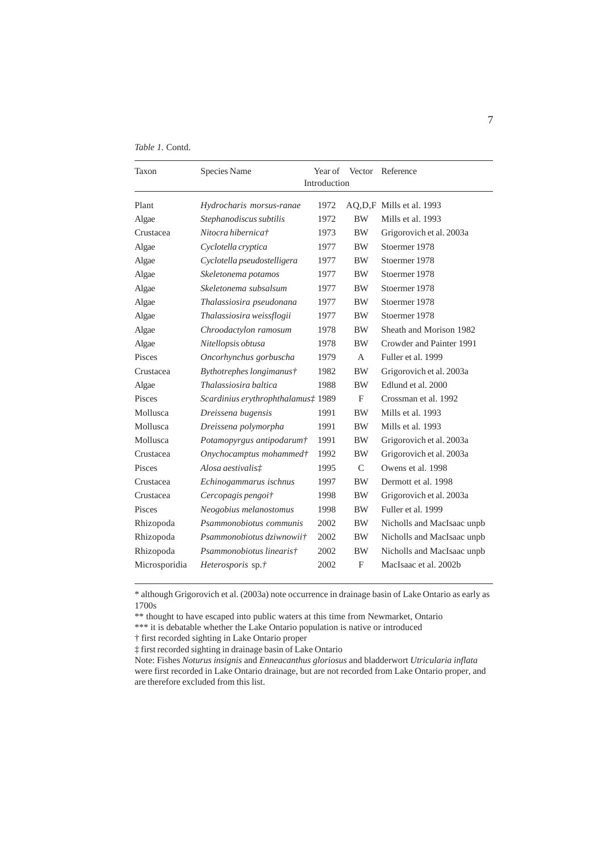|  | <i>Table 1.</i> Contd. |
|--|------------------------|
|  |                        |

| Taxon         | Species Name                       | Year of | Vector        | Reference                  |  |  |  |  |
|---------------|------------------------------------|---------|---------------|----------------------------|--|--|--|--|
|               | Introduction                       |         |               |                            |  |  |  |  |
| Plant         | Hydrocharis morsus-ranae           | 1972    |               | AQ, D, F Mills et al. 1993 |  |  |  |  |
| Algae         | Stephanodiscus subtilis            | 1972    | <b>BW</b>     | Mills et al. 1993          |  |  |  |  |
| Crustacea     | Nitocra hibernica†                 | 1973    | <b>BW</b>     | Grigorovich et al. 2003a   |  |  |  |  |
| Algae         | Cyclotella cryptica                | 1977    | <b>BW</b>     | Stoermer 1978              |  |  |  |  |
| Algae         | Cyclotella pseudostelligera        | 1977    | <b>BW</b>     | Stoermer 1978              |  |  |  |  |
| Algae         | Skeletonema potamos                | 1977    | <b>BW</b>     | Stoermer 1978              |  |  |  |  |
| Algae         | Skeletonema subsalsum              | 1977    | BW.           | Stoermer 1978              |  |  |  |  |
| Algae         | Thalassiosira pseudonana           | 1977    | <b>BW</b>     | Stoermer 1978              |  |  |  |  |
| Algae         | Thalassiosira weissflogii          | 1977    | <b>BW</b>     | Stoermer 1978              |  |  |  |  |
| Algae         | Chroodactylon ramosum              | 1978    | <b>BW</b>     | Sheath and Morison 1982    |  |  |  |  |
| Algae         | Nitellopsis obtusa                 | 1978    | <b>BW</b>     | Crowder and Painter 1991   |  |  |  |  |
| Pisces        | Oncorhynchus gorbuscha             | 1979    | A             | Fuller et al. 1999         |  |  |  |  |
| Crustacea     | Bythotrephes longimanus†           | 1982    | BW            | Grigorovich et al. 2003a   |  |  |  |  |
| Algae         | Thalassiosira baltica              | 1988    | <b>BW</b>     | Edlund et al. 2000         |  |  |  |  |
| Pisces        | Scardinius erythrophthalamus# 1989 |         | F             | Crossman et al. 1992       |  |  |  |  |
| Mollusca      | Dreissena bugensis                 | 1991    | <b>BW</b>     | Mills et al. 1993          |  |  |  |  |
| Mollusca      | Dreissena polymorpha               | 1991    | <b>BW</b>     | Mills et al. 1993          |  |  |  |  |
| Mollusca      | Potamopyrgus antipodarum†          | 1991    | <b>BW</b>     | Grigorovich et al. 2003a   |  |  |  |  |
| Crustacea     | Onychocamptus mohammed†            | 1992    | BW            | Grigorovich et al. 2003a   |  |  |  |  |
| Pisces        | Alosa aestivalis#                  | 1995    | $\mathcal{C}$ | Owens et al. 1998          |  |  |  |  |
| Crustacea     | Echinogammarus ischnus             | 1997    | <b>BW</b>     | Dermott et al. 1998        |  |  |  |  |
| Crustacea     | Cercopagis pengoi†                 | 1998    | <b>BW</b>     | Grigorovich et al. 2003a   |  |  |  |  |
| Pisces        | Neogobius melanostomus             | 1998    | <b>BW</b>     | Fuller et al. 1999         |  |  |  |  |
| Rhizopoda     | Psammonobiotus communis            | 2002    | <b>BW</b>     | Nicholls and MacIsaac unpb |  |  |  |  |
| Rhizopoda     | Psammonobiotus dziwnowii†          | 2002    | BW            | Nicholls and MacIsaac unpb |  |  |  |  |
| Rhizopoda     | Psammonobiotus linearis†           | 2002    | <b>BW</b>     | Nicholls and MacIsaac unpb |  |  |  |  |
| Microsporidia | <i>Heterosporis</i> sp.†           | 2002    | $\mathbf{F}$  | MacIsaac et al. 2002b      |  |  |  |  |

\* although Grigorovich et al. (2003a) note occurrence in drainage basin of Lake Ontario as early as 1700s

\*\* thought to have escaped into public waters at this time from Newmarket, Ontario

\*\*\* it is debatable whether the Lake Ontario population is native or introduced

† first recorded sighting in Lake Ontario proper

‡ first recorded sighting in drainage basin of Lake Ontario

Note: Fishes *Noturus insignis* and *Enneacanthus gloriosus* and bladderwort *Utricularia inflata* were first recorded in Lake Ontario drainage, but are not recorded from Lake Ontario proper, and are therefore excluded from this list.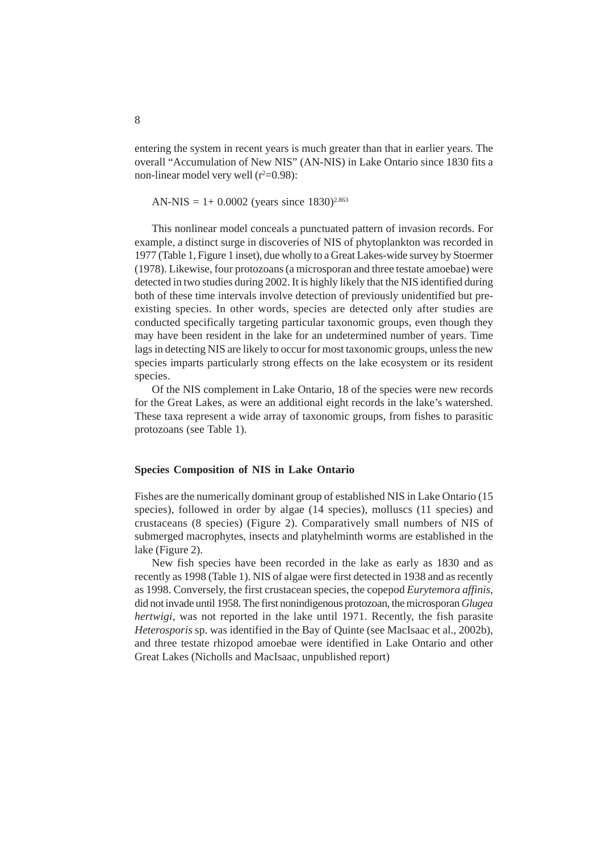entering the system in recent years is much greater than that in earlier years. The overall "Accumulation of New NIS" (AN-NIS) in Lake Ontario since 1830 fits a non-linear model very well  $(r^2=0.98)$ :

AN-NIS =  $1+ 0.0002$  (years since 1830)<sup>2.863</sup>

This nonlinear model conceals a punctuated pattern of invasion records. For example, a distinct surge in discoveries of NIS of phytoplankton was recorded in 1977 (Table 1, Figure 1 inset), due wholly to a Great Lakes-wide survey by Stoermer (1978). Likewise, four protozoans (a microsporan and three testate amoebae) were detected in two studies during 2002. It is highly likely that the NIS identified during both of these time intervals involve detection of previously unidentified but preexisting species. In other words, species are detected only after studies are conducted specifically targeting particular taxonomic groups, even though they may have been resident in the lake for an undetermined number of years. Time lags in detecting NIS are likely to occur for most taxonomic groups, unless the new species imparts particularly strong effects on the lake ecosystem or its resident species.

Of the NIS complement in Lake Ontario, 18 of the species were new records for the Great Lakes, as were an additional eight records in the lake's watershed. These taxa represent a wide array of taxonomic groups, from fishes to parasitic protozoans (see Table 1).

#### **Species Composition of NIS in Lake Ontario**

Fishes are the numerically dominant group of established NIS in Lake Ontario (15 species), followed in order by algae (14 species), molluscs (11 species) and crustaceans (8 species) (Figure 2). Comparatively small numbers of NIS of submerged macrophytes, insects and platyhelminth worms are established in the lake (Figure 2).

New fish species have been recorded in the lake as early as 1830 and as recently as 1998 (Table 1). NIS of algae were first detected in 1938 and as recently as 1998. Conversely, the first crustacean species, the copepod *Eurytemora affinis*, did not invade until 1958. The first nonindigenous protozoan, the microsporan *Glugea hertwigi*, was not reported in the lake until 1971. Recently, the fish parasite *Heterosporis* sp. was identified in the Bay of Quinte (see MacIsaac et al., 2002b), and three testate rhizopod amoebae were identified in Lake Ontario and other Great Lakes (Nicholls and MacIsaac, unpublished report)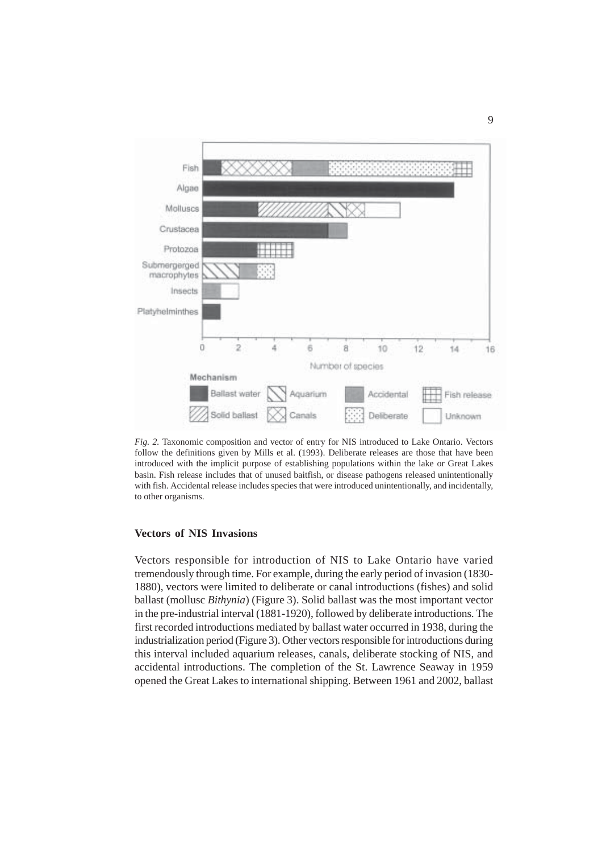

*Fig. 2.* Taxonomic composition and vector of entry for NIS introduced to Lake Ontario. Vectors follow the definitions given by Mills et al. (1993). Deliberate releases are those that have been introduced with the implicit purpose of establishing populations within the lake or Great Lakes basin. Fish release includes that of unused baitfish, or disease pathogens released unintentionally with fish. Accidental release includes species that were introduced unintentionally, and incidentally, to other organisms.

## **Vectors of NIS Invasions**

Vectors responsible for introduction of NIS to Lake Ontario have varied tremendously through time. For example, during the early period of invasion (1830- 1880), vectors were limited to deliberate or canal introductions (fishes) and solid ballast (mollusc *Bithynia*) (Figure 3). Solid ballast was the most important vector in the pre-industrial interval (1881-1920), followed by deliberate introductions. The first recorded introductions mediated by ballast water occurred in 1938, during the industrialization period (Figure 3). Other vectors responsible for introductions during this interval included aquarium releases, canals, deliberate stocking of NIS, and accidental introductions. The completion of the St. Lawrence Seaway in 1959 opened the Great Lakes to international shipping. Between 1961 and 2002, ballast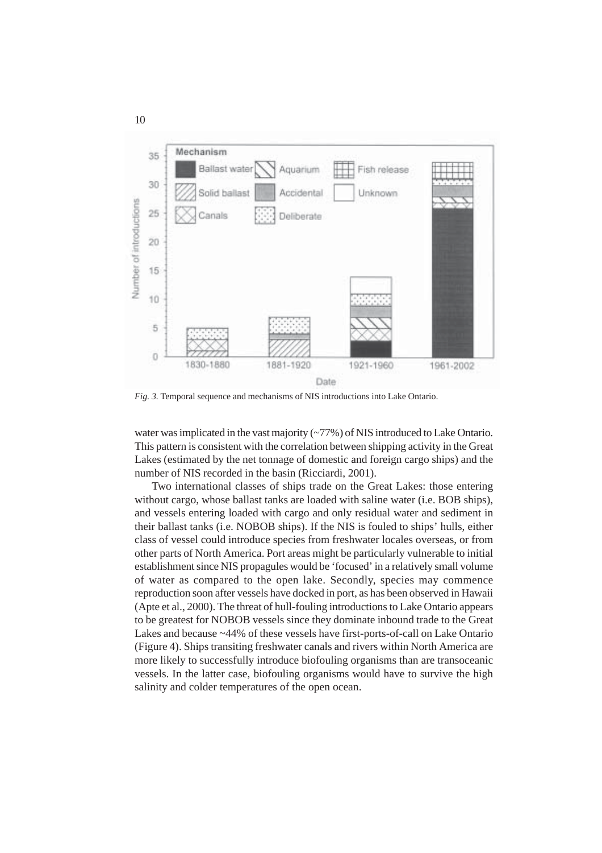

*Fig. 3.* Temporal sequence and mechanisms of NIS introductions into Lake Ontario.

water was implicated in the vast majority (~77%) of NIS introduced to Lake Ontario. This pattern is consistent with the correlation between shipping activity in the Great Lakes (estimated by the net tonnage of domestic and foreign cargo ships) and the number of NIS recorded in the basin (Ricciardi, 2001).

Two international classes of ships trade on the Great Lakes: those entering without cargo, whose ballast tanks are loaded with saline water (i.e. BOB ships), and vessels entering loaded with cargo and only residual water and sediment in their ballast tanks (i.e. NOBOB ships). If the NIS is fouled to ships' hulls, either class of vessel could introduce species from freshwater locales overseas, or from other parts of North America. Port areas might be particularly vulnerable to initial establishment since NIS propagules would be 'focused' in a relatively small volume of water as compared to the open lake. Secondly, species may commence reproduction soon after vessels have docked in port, as has been observed in Hawaii (Apte et al., 2000). The threat of hull-fouling introductions to Lake Ontario appears to be greatest for NOBOB vessels since they dominate inbound trade to the Great Lakes and because ~44% of these vessels have first-ports-of-call on Lake Ontario (Figure 4). Ships transiting freshwater canals and rivers within North America are more likely to successfully introduce biofouling organisms than are transoceanic vessels. In the latter case, biofouling organisms would have to survive the high salinity and colder temperatures of the open ocean.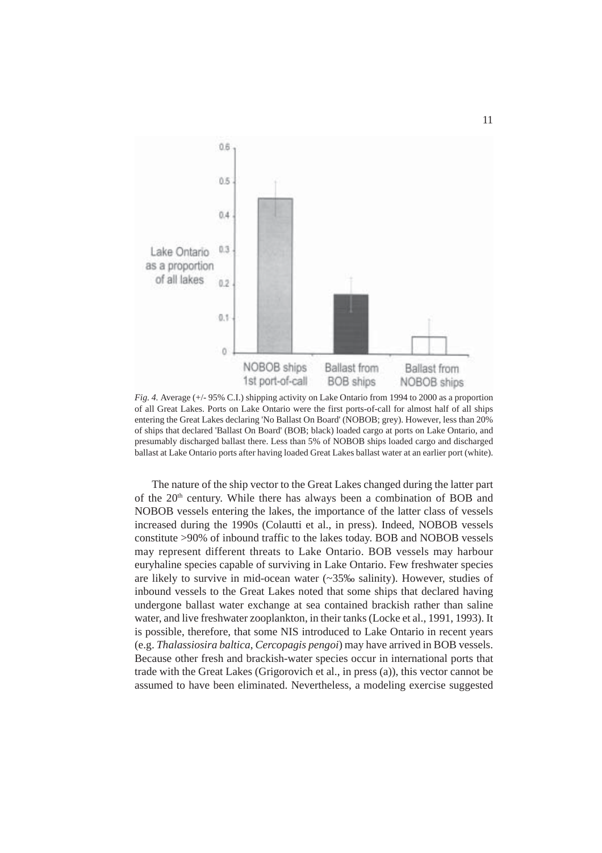

*Fig. 4.* Average (+/- 95% C.I.) shipping activity on Lake Ontario from 1994 to 2000 as a proportion of all Great Lakes. Ports on Lake Ontario were the first ports-of-call for almost half of all ships entering the Great Lakes declaring 'No Ballast On Board' (NOBOB; grey). However, less than 20% of ships that declared 'Ballast On Board' (BOB; black) loaded cargo at ports on Lake Ontario, and presumably discharged ballast there. Less than 5% of NOBOB ships loaded cargo and discharged ballast at Lake Ontario ports after having loaded Great Lakes ballast water at an earlier port (white).

The nature of the ship vector to the Great Lakes changed during the latter part of the 20<sup>th</sup> century. While there has always been a combination of BOB and NOBOB vessels entering the lakes, the importance of the latter class of vessels increased during the 1990s (Colautti et al., in press). Indeed, NOBOB vessels constitute >90% of inbound traffic to the lakes today. BOB and NOBOB vessels may represent different threats to Lake Ontario. BOB vessels may harbour euryhaline species capable of surviving in Lake Ontario. Few freshwater species are likely to survive in mid-ocean water (~35‰ salinity). However, studies of inbound vessels to the Great Lakes noted that some ships that declared having undergone ballast water exchange at sea contained brackish rather than saline water, and live freshwater zooplankton, in their tanks (Locke et al., 1991, 1993). It is possible, therefore, that some NIS introduced to Lake Ontario in recent years (e.g. *Thalassiosira baltica*, *Cercopagis pengoi*) may have arrived in BOB vessels. Because other fresh and brackish-water species occur in international ports that trade with the Great Lakes (Grigorovich et al., in press (a)), this vector cannot be assumed to have been eliminated. Nevertheless, a modeling exercise suggested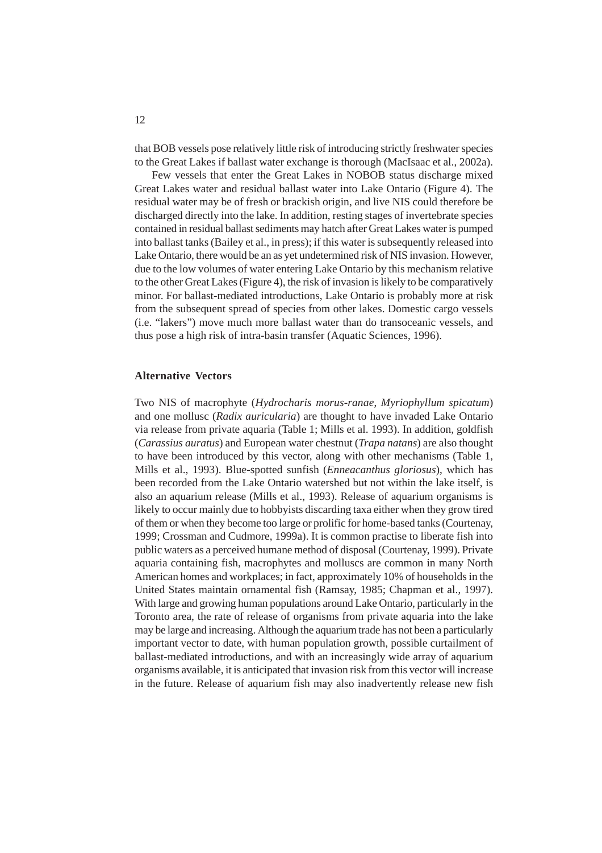that BOB vessels pose relatively little risk of introducing strictly freshwater species to the Great Lakes if ballast water exchange is thorough (MacIsaac et al., 2002a).

Few vessels that enter the Great Lakes in NOBOB status discharge mixed Great Lakes water and residual ballast water into Lake Ontario (Figure 4). The residual water may be of fresh or brackish origin, and live NIS could therefore be discharged directly into the lake. In addition, resting stages of invertebrate species contained in residual ballast sediments may hatch after Great Lakes water is pumped into ballast tanks (Bailey et al., in press); if this water is subsequently released into Lake Ontario, there would be an as yet undetermined risk of NIS invasion. However, due to the low volumes of water entering Lake Ontario by this mechanism relative to the other Great Lakes (Figure 4), the risk of invasion is likely to be comparatively minor. For ballast-mediated introductions, Lake Ontario is probably more at risk from the subsequent spread of species from other lakes. Domestic cargo vessels (i.e. "lakers") move much more ballast water than do transoceanic vessels, and thus pose a high risk of intra-basin transfer (Aquatic Sciences, 1996).

#### **Alternative Vectors**

Two NIS of macrophyte (*Hydrocharis morus-ranae*, *Myriophyllum spicatum*) and one mollusc (*Radix auricularia*) are thought to have invaded Lake Ontario via release from private aquaria (Table 1; Mills et al. 1993). In addition, goldfish (*Carassius auratus*) and European water chestnut (*Trapa natans*) are also thought to have been introduced by this vector, along with other mechanisms (Table 1, Mills et al., 1993). Blue-spotted sunfish (*Enneacanthus gloriosus*), which has been recorded from the Lake Ontario watershed but not within the lake itself, is also an aquarium release (Mills et al., 1993). Release of aquarium organisms is likely to occur mainly due to hobbyists discarding taxa either when they grow tired of them or when they become too large or prolific for home-based tanks (Courtenay, 1999; Crossman and Cudmore, 1999a). It is common practise to liberate fish into public waters as a perceived humane method of disposal (Courtenay, 1999). Private aquaria containing fish, macrophytes and molluscs are common in many North American homes and workplaces; in fact, approximately 10% of households in the United States maintain ornamental fish (Ramsay, 1985; Chapman et al., 1997). With large and growing human populations around Lake Ontario, particularly in the Toronto area, the rate of release of organisms from private aquaria into the lake may be large and increasing. Although the aquarium trade has not been a particularly important vector to date, with human population growth, possible curtailment of ballast-mediated introductions, and with an increasingly wide array of aquarium organisms available, it is anticipated that invasion risk from this vector will increase in the future. Release of aquarium fish may also inadvertently release new fish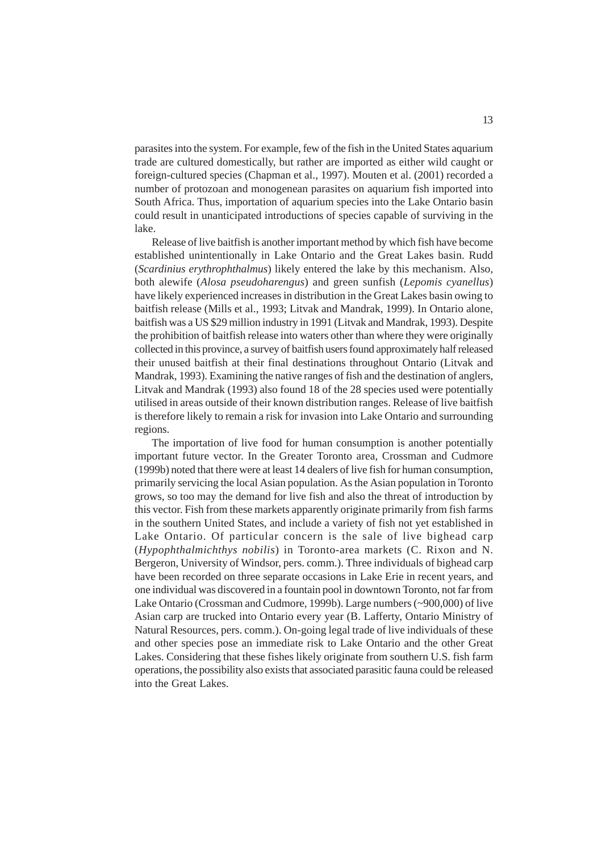parasites into the system. For example, few of the fish in the United States aquarium trade are cultured domestically, but rather are imported as either wild caught or foreign-cultured species (Chapman et al., 1997). Mouten et al. (2001) recorded a number of protozoan and monogenean parasites on aquarium fish imported into South Africa. Thus, importation of aquarium species into the Lake Ontario basin could result in unanticipated introductions of species capable of surviving in the lake.

Release of live baitfish is another important method by which fish have become established unintentionally in Lake Ontario and the Great Lakes basin. Rudd (*Scardinius erythrophthalmus*) likely entered the lake by this mechanism. Also, both alewife (*Alosa pseudoharengus*) and green sunfish (*Lepomis cyanellus*) have likely experienced increases in distribution in the Great Lakes basin owing to baitfish release (Mills et al., 1993; Litvak and Mandrak, 1999). In Ontario alone, baitfish was a US \$29 million industry in 1991 (Litvak and Mandrak, 1993). Despite the prohibition of baitfish release into waters other than where they were originally collected in this province, a survey of baitfish users found approximately half released their unused baitfish at their final destinations throughout Ontario (Litvak and Mandrak, 1993). Examining the native ranges of fish and the destination of anglers, Litvak and Mandrak (1993) also found 18 of the 28 species used were potentially utilised in areas outside of their known distribution ranges. Release of live baitfish is therefore likely to remain a risk for invasion into Lake Ontario and surrounding regions.

The importation of live food for human consumption is another potentially important future vector. In the Greater Toronto area, Crossman and Cudmore (1999b) noted that there were at least 14 dealers of live fish for human consumption, primarily servicing the local Asian population. As the Asian population in Toronto grows, so too may the demand for live fish and also the threat of introduction by this vector. Fish from these markets apparently originate primarily from fish farms in the southern United States, and include a variety of fish not yet established in Lake Ontario. Of particular concern is the sale of live bighead carp (*Hypophthalmichthys nobilis*) in Toronto-area markets (C. Rixon and N. Bergeron, University of Windsor, pers. comm.). Three individuals of bighead carp have been recorded on three separate occasions in Lake Erie in recent years, and one individual was discovered in a fountain pool in downtown Toronto, not far from Lake Ontario (Crossman and Cudmore, 1999b). Large numbers (~900,000) of live Asian carp are trucked into Ontario every year (B. Lafferty, Ontario Ministry of Natural Resources, pers. comm.). On-going legal trade of live individuals of these and other species pose an immediate risk to Lake Ontario and the other Great Lakes. Considering that these fishes likely originate from southern U.S. fish farm operations, the possibility also exists that associated parasitic fauna could be released into the Great Lakes.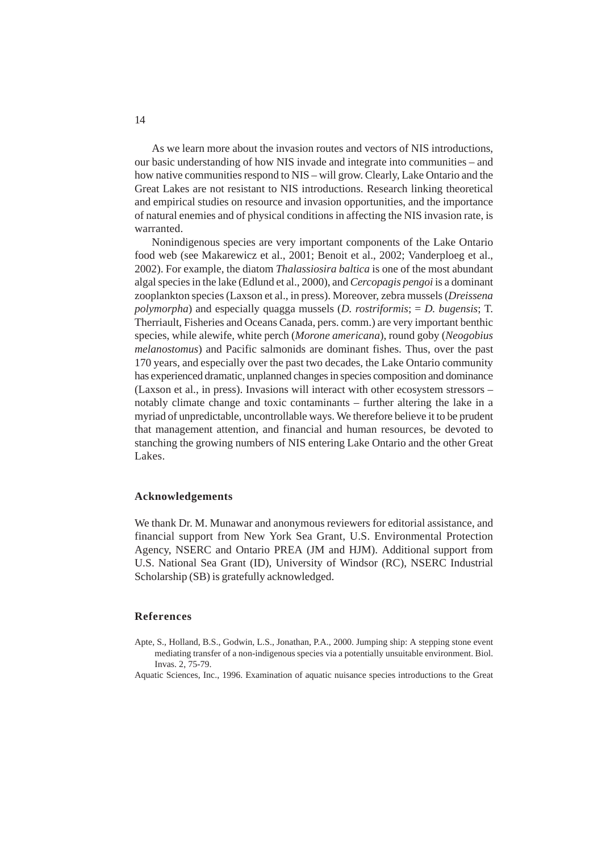As we learn more about the invasion routes and vectors of NIS introductions, our basic understanding of how NIS invade and integrate into communities – and how native communities respond to NIS – will grow. Clearly, Lake Ontario and the Great Lakes are not resistant to NIS introductions. Research linking theoretical and empirical studies on resource and invasion opportunities, and the importance of natural enemies and of physical conditions in affecting the NIS invasion rate, is warranted.

Nonindigenous species are very important components of the Lake Ontario food web (see Makarewicz et al., 2001; Benoit et al., 2002; Vanderploeg et al., 2002). For example, the diatom *Thalassiosira baltica* is one of the most abundant algal species in the lake (Edlund et al., 2000), and *Cercopagis pengoi* is a dominant zooplankton species (Laxson et al., in press). Moreover, zebra mussels (*Dreissena polymorpha*) and especially quagga mussels (*D. rostriformis*; = *D. bugensis*; T. Therriault, Fisheries and Oceans Canada, pers. comm.) are very important benthic species, while alewife, white perch (*Morone americana*), round goby (*Neogobius melanostomus*) and Pacific salmonids are dominant fishes. Thus, over the past 170 years, and especially over the past two decades, the Lake Ontario community has experienced dramatic, unplanned changes in species composition and dominance (Laxson et al., in press). Invasions will interact with other ecosystem stressors – notably climate change and toxic contaminants – further altering the lake in a myriad of unpredictable, uncontrollable ways. We therefore believe it to be prudent that management attention, and financial and human resources, be devoted to stanching the growing numbers of NIS entering Lake Ontario and the other Great Lakes.

# **Acknowledgements**

We thank Dr. M. Munawar and anonymous reviewers for editorial assistance, and financial support from New York Sea Grant, U.S. Environmental Protection Agency, NSERC and Ontario PREA (JM and HJM). Additional support from U.S. National Sea Grant (ID), University of Windsor (RC), NSERC Industrial Scholarship (SB) is gratefully acknowledged.

#### **References**

- Apte, S., Holland, B.S., Godwin, L.S., Jonathan, P.A., 2000. Jumping ship: A stepping stone event mediating transfer of a non-indigenous species via a potentially unsuitable environment. Biol. Invas. 2, 75-79.
- Aquatic Sciences, Inc., 1996. Examination of aquatic nuisance species introductions to the Great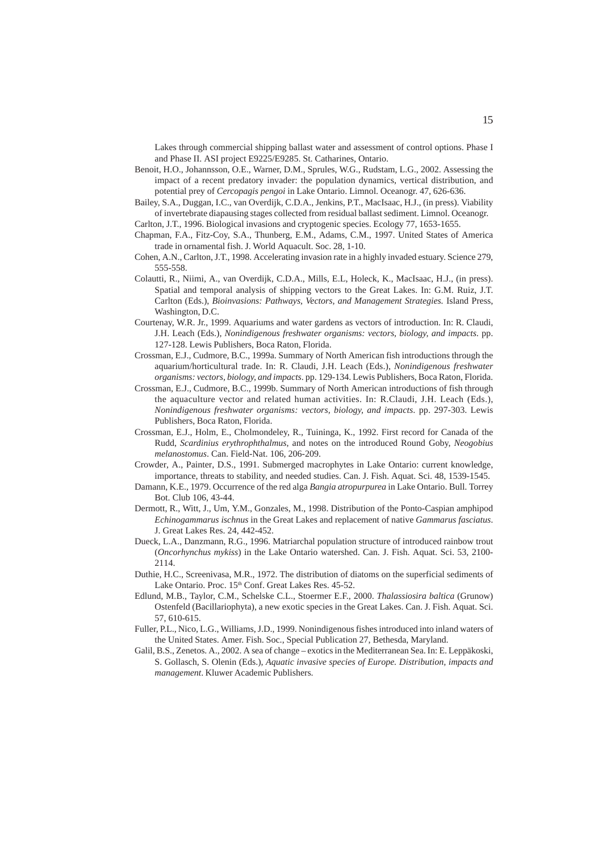Lakes through commercial shipping ballast water and assessment of control options. Phase I and Phase II. ASI project E9225/E9285. St. Catharines, Ontario.

- Benoit, H.O., Johannsson, O.E., Warner, D.M., Sprules, W.G., Rudstam, L.G., 2002. Assessing the impact of a recent predatory invader: the population dynamics, vertical distribution, and potential prey of *Cercopagis pengoi* in Lake Ontario. Limnol. Oceanogr. 47, 626-636.
- Bailey, S.A., Duggan, I.C., van Overdijk, C.D.A., Jenkins, P.T., MacIsaac, H.J., (in press). Viability of invertebrate diapausing stages collected from residual ballast sediment. Limnol. Oceanogr.

Carlton, J.T., 1996. Biological invasions and cryptogenic species. Ecology 77, 1653-1655.

- Chapman, F.A., Fitz-Coy, S.A., Thunberg, E.M., Adams, C.M., 1997. United States of America trade in ornamental fish. J. World Aquacult. Soc. 28, 1-10.
- Cohen, A.N., Carlton, J.T., 1998. Accelerating invasion rate in a highly invaded estuary. Science 279, 555-558.
- Colautti, R., Niimi, A., van Overdijk, C.D.A., Mills, E.L, Holeck, K., MacIsaac, H.J., (in press). Spatial and temporal analysis of shipping vectors to the Great Lakes. In: G.M. Ruiz, J.T. Carlton (Eds.), *Bioinvasions: Pathways, Vectors, and Management Strategies.* Island Press, Washington, D.C.
- Courtenay, W.R. Jr., 1999. Aquariums and water gardens as vectors of introduction. In: R. Claudi, J.H. Leach (Eds.)*, Nonindigenous freshwater organisms: vectors, biology, and impacts*. pp. 127-128. Lewis Publishers, Boca Raton, Florida.
- Crossman, E.J., Cudmore, B.C., 1999a. Summary of North American fish introductions through the aquarium/horticultural trade. In: R. Claudi, J.H. Leach (Eds.), *Nonindigenous freshwater organisms: vectors, biology, and impacts*. pp. 129-134. Lewis Publishers, Boca Raton, Florida.
- Crossman, E.J., Cudmore, B.C., 1999b. Summary of North American introductions of fish through the aquaculture vector and related human activities. In: R.Claudi, J.H. Leach (Eds.), *Nonindigenous freshwater organisms: vectors, biology, and impacts*. pp. 297-303. Lewis Publishers, Boca Raton, Florida.
- Crossman, E.J., Holm, E., Cholmondeley, R., Tuininga, K., 1992. First record for Canada of the Rudd, *Scardinius erythrophthalmus*, and notes on the introduced Round Goby, *Neogobius melanostomus*. Can. Field-Nat. 106, 206-209.
- Crowder, A., Painter, D.S., 1991. Submerged macrophytes in Lake Ontario: current knowledge, importance, threats to stability, and needed studies. Can. J. Fish. Aquat. Sci. 48, 1539-1545.
- Damann, K.E., 1979. Occurrence of the red alga *Bangia atropurpurea* in Lake Ontario. Bull. Torrey Bot. Club 106, 43-44.
- Dermott, R., Witt, J., Um, Y.M., Gonzales, M., 1998. Distribution of the Ponto-Caspian amphipod *Echinogammarus ischnus* in the Great Lakes and replacement of native *Gammarus fasciatus*. J. Great Lakes Res. 24, 442-452.
- Dueck, L.A., Danzmann, R.G., 1996. Matriarchal population structure of introduced rainbow trout (*Oncorhynchus mykiss*) in the Lake Ontario watershed. Can. J. Fish. Aquat. Sci. 53, 2100- 2114.
- Duthie, H.C., Screenivasa, M.R., 1972. The distribution of diatoms on the superficial sediments of Lake Ontario. Proc. 15<sup>th</sup> Conf. Great Lakes Res. 45-52.
- Edlund, M.B., Taylor, C.M., Schelske C.L., Stoermer E.F., 2000. *Thalassiosira baltica* (Grunow) Ostenfeld (Bacillariophyta), a new exotic species in the Great Lakes. Can. J. Fish. Aquat. Sci. 57, 610-615.
- Fuller, P.L., Nico, L.G., Williams, J.D., 1999. Nonindigenous fishes introduced into inland waters of the United States. Amer. Fish. Soc., Special Publication 27, Bethesda, Maryland.
- Galil, B.S., Zenetos. A., 2002. A sea of change exotics in the Mediterranean Sea. In: E. Leppäkoski, S. Gollasch, S. Olenin (Eds.), *Aquatic invasive species of Europe. Distribution, impacts and management*. Kluwer Academic Publishers.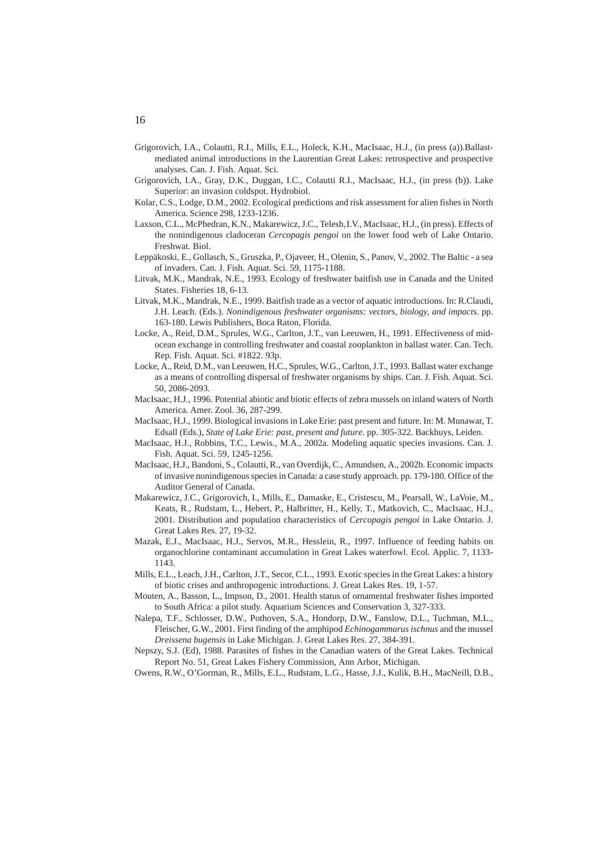- Grigorovich, I.A., Colautti, R.I., Mills, E.L., Holeck, K.H., MacIsaac, H.J., (in press (a)).Ballastmediated animal introductions in the Laurentian Great Lakes: retrospective and prospective analyses. Can. J. Fish. Aquat. Sci.
- Grigorovich, I.A., Gray, D.K., Duggan, I.C., Colautti R.I., MacIsaac, H.J., (in press (b)). Lake Superior: an invasion coldspot. Hydrobiol.
- Kolar, C.S., Lodge, D.M., 2002. Ecological predictions and risk assessment for alien fishes in North America. Science 298, 1233-1236.
- Laxson, C.L., McPhedran, K.N., Makarewicz, J.C., Telesh,I.V., MacIsaac, H.J., (in press). Effects of the nonindigenous cladoceran *Cercopagis pengoi* on the lower food web of Lake Ontario. Freshwat. Biol.
- Leppäkoski, E., Gollasch, S., Gruszka, P., Ojaveer, H., Olenin, S., Panov, V., 2002. The Baltic a sea of invaders. Can. J. Fish. Aquat. Sci. 59, 1175-1188.
- Litvak, M.K., Mandrak, N.E., 1993. Ecology of freshwater baitfish use in Canada and the United States. Fisheries 18, 6-13.
- Litvak, M.K., Mandrak, N.E., 1999. Baitfish trade as a vector of aquatic introductions. In: R.Claudi, J.H. Leach. (Eds.). *Nonindigenous freshwater organisms: vectors, biology, and impacts*. pp. 163-180. Lewis Publishers, Boca Raton, Florida.
- Locke, A., Reid, D.M., Sprules, W.G., Carlton, J.T., van Leeuwen, H., 1991. Effectiveness of midocean exchange in controlling freshwater and coastal zooplankton in ballast water. Can. Tech. Rep. Fish. Aquat. Sci. #1822. 93p.
- Locke, A., Reid, D.M., van Leeuwen, H.C., Sprules, W.G., Carlton, J.T., 1993. Ballast water exchange as a means of controlling dispersal of freshwater organisms by ships. Can. J. Fish. Aquat. Sci. 50, 2086-2093.
- MacIsaac, H.J., 1996. Potential abiotic and biotic effects of zebra mussels on inland waters of North America. Amer. Zool. 36, 287-299.
- MacIsaac, H.J., 1999. Biological invasions in Lake Erie: past present and future. In: M. Munawar, T. Edsall (Eds.), *State of Lake Erie: past, present and future*. pp. 305-322. Backhuys, Leiden.
- MacIsaac, H.J., Robbins, T.C., Lewis., M.A., 2002a. Modeling aquatic species invasions. Can. J. Fish. Aquat. Sci. 59, 1245-1256.
- MacIsaac, H.J., Bandoni, S., Colautti, R., van Overdijk, C., Amundsen, A., 2002b. Economic impacts of invasive nonindigenous species in Canada: a case study approach. pp. 179-180. Office of the Auditor General of Canada.
- Makarewicz, J.C., Grigorovich, I., Mills, E., Damaske, E., Cristescu, M., Pearsall, W., LaVoie, M., Keats, R., Rudstam, L., Hebert, P., Halbritter, H., Kelly, T., Matkovich, C., MacIsaac, H.J., 2001. Distribution and population characteristics of *Cercopagis pengoi* in Lake Ontario. J. Great Lakes Res. 27, 19-32.
- Mazak, E.J., MacIsaac, H.J., Servos, M.R., Hesslein, R., 1997. Influence of feeding habits on organochlorine contaminant accumulation in Great Lakes waterfowl. Ecol. Applic. 7, 1133- 1143.
- Mills, E.L., Leach, J.H., Carlton, J.T., Secor, C.L., 1993. Exotic species in the Great Lakes: a history of biotic crises and anthropogenic introductions. J. Great Lakes Res. 19, 1-57.
- Mouten, A., Basson, L., Impson, D., 2001. Health status of ornamental freshwater fishes imported to South Africa: a pilot study. Aquarium Sciences and Conservation 3, 327-333.
- Nalepa, T.F., Schlosser, D.W., Pothoven, S.A., Hondorp, D.W., Fanslow, D.L., Tuchman, M.L., Fleischer, G.W., 2001. First finding of the amphipod *Echinogammarus ischnus* and the mussel *Dreissena bugensis* in Lake Michigan. J. Great Lakes Res. 27, 384-391.
- Nepszy, S.J. (Ed), 1988. Parasites of fishes in the Canadian waters of the Great Lakes. Technical Report No. 51, Great Lakes Fishery Commission, Ann Arbor, Michigan.
- Owens, R.W., O'Gorman, R., Mills, E.L., Rudstam, L.G., Hasse, J.J., Kulik, B.H., MacNeill, D.B.,